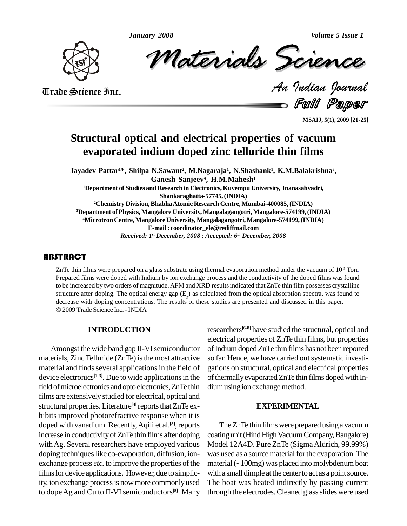

Volume 5 Issue 1<br>**CREMCle**<br>Indian Dournal ary 2008<br>Materials Scrence

Trade Science Inc. Trade Science Inc.

Full Paper

**MSAIJ, 5(1), 2009 [21-25]**

# **Structural optical and electrical properties of vacuum evaporated indium doped zinc telluride thin films**

**Jayadev Pattar <sup>1</sup>\*, Shilpa N.Sawant 2 , M.Nagaraja 1 , N.Shashank 1 , K.M.Balakrishna 3 , Ganesh Sanjeev 4 , H.M.Mahesh 1 <sup>1</sup>Department of Studies and Research inElectronics,Kuvempu University, Jnanasahyadri, Shankaraghatta-57745,(INDIA) <sup>2</sup>Chemistry Division,BhabhaAtomic Research Centre,Mumbai-400085,(INDIA) <sup>3</sup>Department ofPhysics, Mangalore University, Mangalagangotri,Mangalore-574199,(INDIA) <sup>4</sup>MicrotronCentre, Mangalore University, Mangalagangotri,Mangalore-574199,(INDIA) E-mail: [coordinator\\_ele@rediffmail.com](mailto:coordinator_ele@rediffmail.com)** *Received: 1 st December, 2008 ; Accepted: 6 th December, 2008*

## **ABSTRACT**

ZnTe thin films were preprese Prepared films were dopot to be increased by two or ZnTe thin films were prepared on a glass substrate using thermal evaporation method under the vacuum of  $10^{-5}$  Torr. Prepared films were doped with Indium by ion exchange process and the conductivity of the doped films was found to be increased by two orders of magnitude.AFM and XRD resultsindicated that ZnTe thin film possesses crystalline structure after doping. The optical energy gap  $(E_g)$  as calculated from the optical absorption spectra, was found to decrease with doping concentrations. The results of these studies are presented and discussed in this pa 2009Trade Science Inc. -INDIA

### **INTRODUCTION**

Amongst the wide band gap II-VI semiconductor materials, Zinc Telluride (ZnTe) is the most attractive material and finds several applications in the field of device electronics<sup>[1-3]</sup>. Due to wide applications in the of the field of microelectronics and opto electronics, ZnTe thin dium using ion exchange method. films are extensively studied for electrical, optical and structural properties. Literature<sup>[4]</sup> reports that ZnTe exhibits improved photorefractive response when it is doped with vanadium. Recently, Aqili et al.<sup>[5]</sup>, reports T increase in conductivityofZnTe thin films after doping with Ag. Several researchers have employed various doping techniques like co-evaporation, diffusion, ionexchange process *etc*. to improve the properties of the films for device applications. However, due to simplicity, ion exchange process is now more commonly used to dope Ag and Cu to II-VI semiconductors<sup>[5]</sup>. Many through

researchers **[6-8]** have studied the structural, optical and electrical properties of ZnTe thin films, but properties of Indium doped ZnTe thin films has not been reported so far. Hence, we have carried out systematic investigations on structural, optical and electrical properties of thermally evaporated ZnTe thin films doped with In-

### **EXPERIMENTAL**

The ZnTe thin films were prepared using a vacuum coating unit (Hind High Vacuum Company, Bangalore) Model 12A4D. Pure ZnTe (SigmaAldrich, 99.99%) was used as a source material for the evaporation. The material  $(\sim100$ mg) was placed into molybdenum boat with a small dimple at the center to act as a point source. The boat was heated indirectly by passing current through the electrodes. Cleaned glass slides were used

*January 2008 Volume 5 Issue 1*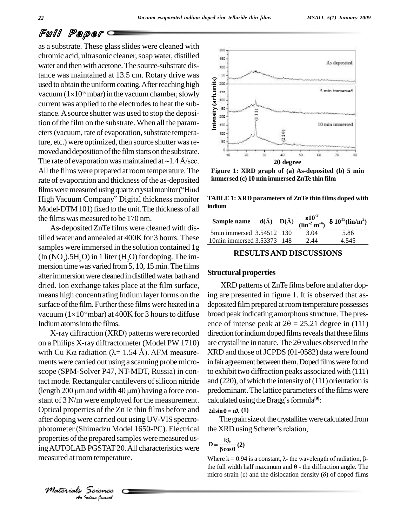### *MSAIJ, 5(1) January 2009*

## Full Paper

as a substrate. These glass slides were cleaned with chromic acid, ultrasonic cleaner, soap water, distilled water and then with acetone.The source-substrate distance was maintained at 13.5 cm. Rotary drive was used to obtain the uniform coating. After reaching high  $\frac{1}{2}$ tance was maintained a<br>used to obtain the uniform<br>vacuum  $(1\times10^{-5} \text{ mbar})$  in vacuum  $(1 \times 10^{-5} \text{ mbar})$  in the vacuum chamber, slowly current was applied to the electrodes to heat the substance.Asource shutter was used to stop the deposition of the film on the substrate. When all the param eters (vacuum, rate of evaporation, substrate temperature, etc.) were optimized, then source shutter was removed and deposition of the film starts on the substrate.<br>The rate of evaporation was maintained at  $\sim$  1.4 Å/sec. moved and deposition of the film starts on the substrate. All the films were prepared at room temperature. The Figure rate of evaporation and thickness of the as-deposited immer<br>films were measured using quartz crystal monitor ("Hind rate of evaporation and thickness of the as-deposited immer<br>films were measured using quartz crystal monitor ("Hind<br>High Vacuum Company" Digital thickness monitor TABLE Model-DTM 101) fixed to the unit. The thickness of all the films was measured to be 170 nm.

As-deposited ZnTe films were cleaned with distilled water and annealed at 400K for 3 hours. These samples were immersed in the solution contained 1g (In  $(NO_3)$ .5H<sub>2</sub>O) in 1 liter (H<sub>2</sub>O) for doping. The im-<br>mersion time was varied from 5, 10, 15 min. The films after immersion were cleaned in distilled water bath and dried. Ion exchange takes place at the film surface, means high concentrating Indium layer forms on the ing ar<br>surface of the film. Further these films were heated in a depos<br>vacuum  $(1\times10^{-3}$ mbar) at 400K for 3 hours to diffuse broad surface of the film. Further these films were heated in a vacuum  $(1\times10^{-3}$ mbar) at 400K for 3 hours to diffuse Indiumatomsintothe films.

properties of the prepared samples were measured us-*I* PGSTAT 20<br>*I* PGSTAT 20<br>*Science*<br>*Indian Iournal* X-ray diffraction (XRD) patterns were recorded on a Philips X-ray diffractometer (Model PW 1710) X-ray diffraction (XRD) patterns were recorded dired<br>on a Philips X-ray diffractometer (Model PW 1710) are c<br>with Cu K $\alpha$  radiation ( $\lambda$ = 1.54 Å). AFM measure- XRI ments were carried out using a scanning probe micro scope (SPM-Solver P47, NT-MDT, Russia) in contact mode. Rectangular cantilevers of silicon nitride (length  $200 \mu m$  and width  $40 \mu m$ ) having a force constant of 3 N/m were employed for the measurement. Optical properties of the ZnTe thin films before and  $2\text{d} \sin \theta = n\lambda$  (1) after doping were carried out using UV-VIS spectro photometer (Shimadzu Model 1650-PC). Electrical ing AUTOLAB PGSTAT 20. All characteristics were measured at room temperature.



**Figure 1: XRD graph of (a) As-deposited (b)5 min immersed (c) 10 min immersed ZnTe thin film**

**TABLE 1: XRD parameters of ZnTe thin films doped with indium**

| TADLE 1. AND parameters of Zirve thin films doped with<br>indium |  |                                                         |                                                                                                                              |
|------------------------------------------------------------------|--|---------------------------------------------------------|------------------------------------------------------------------------------------------------------------------------------|
|                                                                  |  |                                                         |                                                                                                                              |
|                                                                  |  | 3.04                                                    | 5.86                                                                                                                         |
|                                                                  |  | 2.44                                                    | 4.545                                                                                                                        |
|                                                                  |  | 5min immersed 3.54512 130<br>10min immersed 3.53373 148 | Sample name $d(\hat{A})$ $D(\hat{A})$ $\frac{\epsilon 10^{-3}}{(\text{lin}^2 \text{ m}^4)}$ $\delta 10^{15}(\text{lin/m}^2)$ |

### **RESULTSAND DISCUSSIONS**

### **Structural properties**

XRD patterns of ZnTe films before and after doping are presented in figure 1. It is observed that as deposited film prepared at room temperature possesses broad peak indicating amorphous structure. The presdeposited film prepared at room temperature possesses<br>broad peak indicating amorphous structure. The pres-<br>ence of intense peak at  $2\theta = 25.21$  degree in (111) direction for indium doped films reveals that these films ence of intense peak at  $2\theta = 25.21$  degree in (111) direction for indium doped films reveals that these films are crystalline in nature. The 20 values observed in the XRD and those of JCPDS (01-0582) data were found in fair agreement between them. Doped films were found to exhibit two diffraction peaks associated with (111) and (220), of which the intensity of (111) orientation is<br>predominant. The lattice parameters of the films were<br>calculated using the Bragg's formula<sup>[9]</sup>: predominant. The lattice parameters of the films were  $\alpha$  calculated using the Bragg's formula<sup>[9]</sup>:<br>  $2d\sin\theta = n\lambda(1)$ 

The grain size of the crystallites were calculated from  $2d\sin\theta = n\lambda$  (1)<br>The grain size of the crystallites were<br>the XRD using Scherer's relation,  $\frac{1}{2}$  XRI

## $\frac{1}{\theta}$  (2)  $D = \frac{k\lambda}{\beta\cos\theta}$  (2)

**D** =  $\frac{k\lambda}{\beta \cos \theta}$  (2)<br>Where k = 0.94 is a constant, λ- the wavelength of radiation, β**βcosθ**<br>Where k = 0.94 is a constant, λ- the wavelength of radiation, β-<br>the full width half maximum and θ - the diffraction angle. The Where  $k = 0.94$  is a constant,  $\lambda$ - the wavelength of radiation,  $\beta$ -<br>the full width half maximum and  $\theta$  - the diffraction angle. The<br>micro strain ( $\epsilon$ ) and the dislocation density ( $\delta$ ) of doped films



*Materials Science*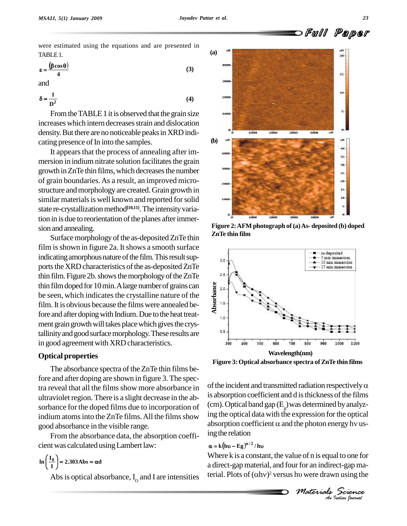**4**

Full Paper

were estimated using the equations and are presented in TABLE<sub>1</sub>.  $\big)$ E 1.<br> $\cos \theta$ )

TABLE 1.  
\n
$$
\varepsilon = \frac{(\beta \cos \theta)}{\beta}
$$
\n(3)

and 

and  
\n
$$
\delta = \frac{1}{D^2}
$$
\n(4)

From the TABLE 1 it is observed that the grain size increases which intern decreases strain and dislocation density. But there are no noticeable peaks in XRD indicating presence of In into the samples.

It appears that the process of annealing after immersion in indium nitrate solution facilitates the grain growth in ZnTe thin films, which decreases the number of grain boundaries.As a result, an improved micro structure and morphology are created. Grain growth in similar materials is well known and reported for solid state re-crystallization method<sup>[10,11</sup>]. The intensity variation in is due to reorientation of the planes after immersion and annealing.

Surface morphology of the as-deposited ZnTe thin film is shown in figure 2a. It shows a smooth surface indicating amorphous nature of the film. This result supports the XRD characteristics of the as-deposited ZnTe thin film. Figure 2b. shows the morphology of the  $ZnTe$ thin film doped for 10 min. A large number of grains can  $\frac{8}{9}$ be seen, which indicates the crystalline nature of the film. It is obvious because the films were annealed before and after doping with Indium. Due to the heat treatment grain growth will takes place which gives the crystallinity and good surface morphology. These results are in good agreement with XRD characteristics.

### **Optical properties**

The absorbance spectra of the ZnTe thin films before and after doping are shown in figure 3. The spectra reveal that all the films show more absorbance in ultraviolet region. There is a slight decrease in the absorbance for the doped films due to incorporation of indium atoms into the ZnTe films. All the films show good absorbance in the visible range.

From the absorbance data, the absorption coeffi cient was calculated using Lambert law:<br> $\ln\left(\frac{I_0}{I}\right) = 2.303 \text{Abs} = \alpha d$ 

$$
\ln\left(\frac{I_0}{I}\right) = 2.303 \text{ Abs} = \alpha d
$$



**Figure 2:AFM photograph of(a)As- deposited (b) doped ZnTe thin film**



**Figure 3: Optical absorbance spectra ofZnTe thin films**

of the incident and transmitted radiation respectively  $\alpha$ is absorption coefficient and d is thickness of the films (cm). Optical band gap  $(E_g)$  was determined by analyzing the optical data with the expression for the optical absorption coefficient  $\alpha$  and the photon energy hv using the relation  $\mathbf{k}$  (hv – Eg<sup> $\mathbf{h}^{1/2}$ </sup>/hv

*M* Indian *Indiana*<br> *Mosterials Science*<br> *Materials Science*<br> *An Indian Ignerial* Abs is optical absorbance, I<sub>o</sub> and I are intensities terial. Plots of  $(\alpha h v)^2$  versus hv were drawn using the Where  $k$  is a constant, the value of  $n$  is equal to one for a direct-gap material, and four for an indirect-gap ma-Where k is a constant, the value of n is equal to one for<br>a direct-gap material, and four for an indirect-gap ma-<br>terial. Plots of  $(\alpha h v)^2$  versus hv were drawn using the

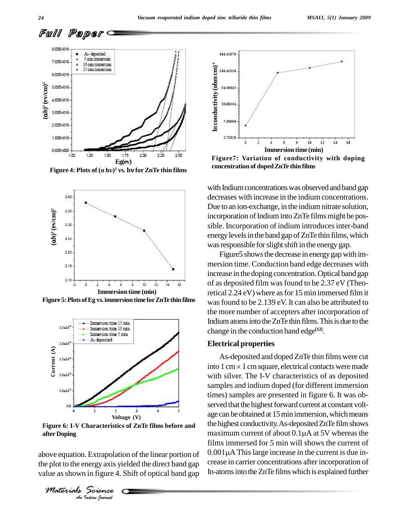



**Figure 5:Plots ofEg vs.immersiontime forZnTe thin films**



**Figure 6: I-V Characteristics of ZnTe films before and after Doping**

*I*. Extrapolati<br>*Indian Indian*<br>*Science* above equation. Extrapolation of the linear portion of  $10.00$ the plot to the energy axis yielded the direct band gap value as shown in figure 4. Shift of optical band gap

*Materials Science*



**Figure7: Variation of conductivity with doping concentration of dopedZnTe thin films**

with Indium concentrations was observed and band gap decreases with increase in the indium concentrations. Due to an ion-exchange, in the indium nitrate solution, incorporation of Indium into ZnTe films might be possible. Incorporation of indium introduces inter-band energy levels in the band gap of ZnTe thin films, which was responsible for slight shift in the energy gap.

Figure 5 shows the decrease in energy gap with immersion time. Conduction band edge decreases with increase in the doping concentration.Optical band gap of as deposited film wasfound to be 2.37 eV (Theoretical 2.24 eV) where asfor 15 min immersed film it wasfound to be 2.139 eV. It can also be attributed to the more number of accepters after incorporation of Indium atoms into the ZnTe thin films. This is due to the change in the conduction band edge **[12]**.

### **Electrical properties**

As-deposited and doped ZnTe thin films were cut into  $1 \text{ cm} \times 1 \text{ cm}$  square, electrical contacts were made with silver. The I-V characteristics of as deposited samples and indium doped (for different immersion times) samples are presented in figure 6. It was ob served that the highest forward current at constant voltage can be obtained at 15 min immersion, which means the highest conductivity. As-deposited ZnTe film shows age can be obtained at 15 min immersion, which means<br>the highest conductivity. As-deposited ZnTe film shows<br>maximum current of about 0.1µA at 5V whereas the films immersed for 5 min will shows the current of maximum current of about  $0.1\mu$ A at 5V whereas the<br>films immersed for 5 min will shows the current of<br> $0.001\mu$ A This large increase in the current is due increase in carrier concentrations after incorporation of In-atoms into the ZnTe films which is explained further

Full Paper